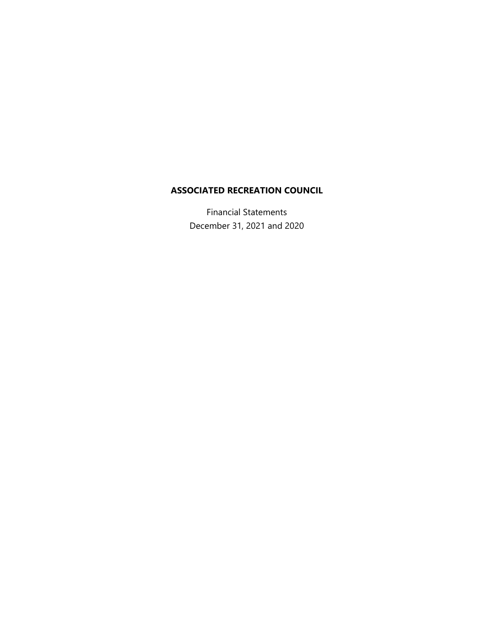Financial Statements December 31, 2021 and 2020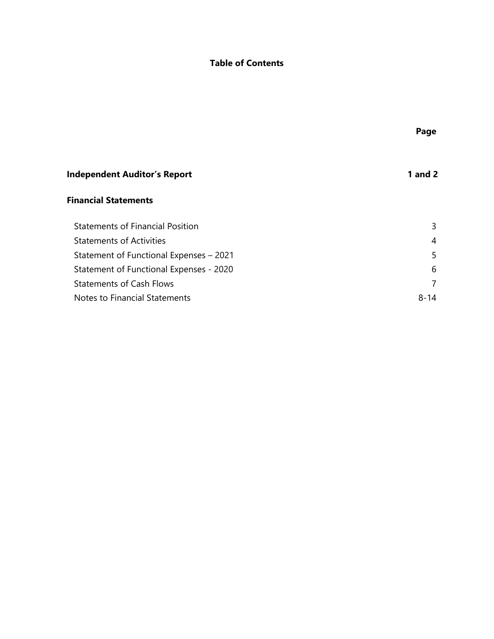# **Table of Contents**

| <b>Independent Auditor's Report</b>     | <b>1</b> and 2 |
|-----------------------------------------|----------------|
| <b>Financial Statements</b>             |                |
| <b>Statements of Financial Position</b> | 3              |
| <b>Statements of Activities</b>         | 4              |
| Statement of Functional Expenses - 2021 | 5              |
| Statement of Functional Expenses - 2020 | 6              |
| <b>Statements of Cash Flows</b>         |                |
| Notes to Financial Statements           | $8 - 14$       |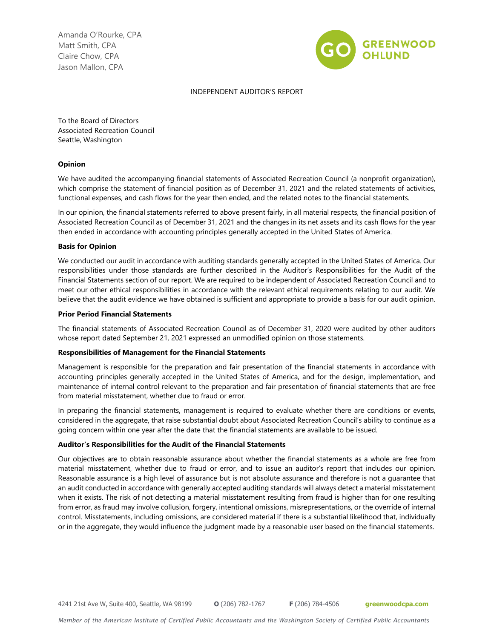Amanda O'Rourke, CPA Matt Smith, CPA Claire Chow, CPA Jason Mallon, CPA



#### INDEPENDENT AUDITOR'S REPORT

To the Board of Directors Associated Recreation Council Seattle, Washington

#### **Opinion**

We have audited the accompanying financial statements of Associated Recreation Council (a nonprofit organization), which comprise the statement of financial position as of December 31, 2021 and the related statements of activities, functional expenses, and cash flows for the year then ended, and the related notes to the financial statements.

In our opinion, the financial statements referred to above present fairly, in all material respects, the financial position of Associated Recreation Council as of December 31, 2021 and the changes in its net assets and its cash flows for the year then ended in accordance with accounting principles generally accepted in the United States of America.

#### **Basis for Opinion**

We conducted our audit in accordance with auditing standards generally accepted in the United States of America. Our responsibilities under those standards are further described in the Auditor's Responsibilities for the Audit of the Financial Statements section of our report. We are required to be independent of Associated Recreation Council and to meet our other ethical responsibilities in accordance with the relevant ethical requirements relating to our audit. We believe that the audit evidence we have obtained is sufficient and appropriate to provide a basis for our audit opinion.

#### **Prior Period Financial Statements**

The financial statements of Associated Recreation Council as of December 31, 2020 were audited by other auditors whose report dated September 21, 2021 expressed an unmodified opinion on those statements.

#### **Responsibilities of Management for the Financial Statements**

Management is responsible for the preparation and fair presentation of the financial statements in accordance with accounting principles generally accepted in the United States of America, and for the design, implementation, and maintenance of internal control relevant to the preparation and fair presentation of financial statements that are free from material misstatement, whether due to fraud or error.

In preparing the financial statements, management is required to evaluate whether there are conditions or events, considered in the aggregate, that raise substantial doubt about Associated Recreation Council's ability to continue as a going concern within one year after the date that the financial statements are available to be issued.

#### **Auditor's Responsibilities for the Audit of the Financial Statements**

Our objectives are to obtain reasonable assurance about whether the financial statements as a whole are free from material misstatement, whether due to fraud or error, and to issue an auditor's report that includes our opinion. Reasonable assurance is a high level of assurance but is not absolute assurance and therefore is not a guarantee that an audit conducted in accordance with generally accepted auditing standards will always detect a material misstatement when it exists. The risk of not detecting a material misstatement resulting from fraud is higher than for one resulting from error, as fraud may involve collusion, forgery, intentional omissions, misrepresentations, or the override of internal control. Misstatements, including omissions, are considered material if there is a substantial likelihood that, individually or in the aggregate, they would influence the judgment made by a reasonable user based on the financial statements.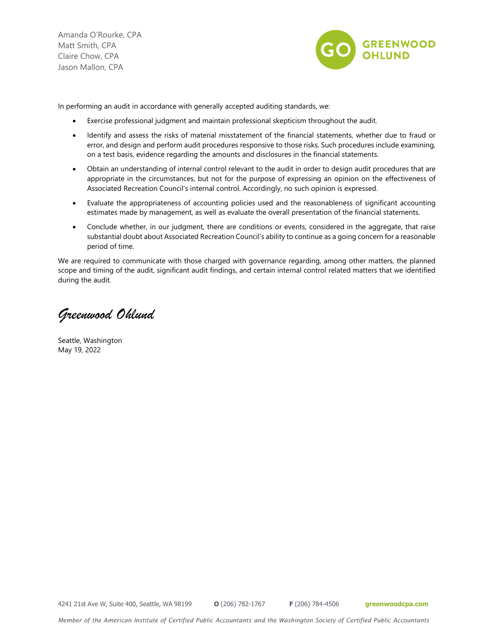Amanda O'Rourke, CPA Matt Smith, CPA Claire Chow, CPA Jason Mallon, CPA



In performing an audit in accordance with generally accepted auditing standards, we:

- Exercise professional judgment and maintain professional skepticism throughout the audit.
- Identify and assess the risks of material misstatement of the financial statements, whether due to fraud or error, and design and perform audit procedures responsive to those risks. Such procedures include examining, on a test basis, evidence regarding the amounts and disclosures in the financial statements.
- Obtain an understanding of internal control relevant to the audit in order to design audit procedures that are appropriate in the circumstances, but not for the purpose of expressing an opinion on the effectiveness of Associated Recreation Council's internal control. Accordingly, no such opinion is expressed.
- Evaluate the appropriateness of accounting policies used and the reasonableness of significant accounting estimates made by management, as well as evaluate the overall presentation of the financial statements.
- Conclude whether, in our judgment, there are conditions or events, considered in the aggregate, that raise substantial doubt about Associated Recreation Council's ability to continue as a going concern for a reasonable period of time.

We are required to communicate with those charged with governance regarding, among other matters, the planned scope and timing of the audit, significant audit findings, and certain internal control related matters that we identified during the audit.

*Greenwood Ohlund* 

Seattle, Washington May 19, 2022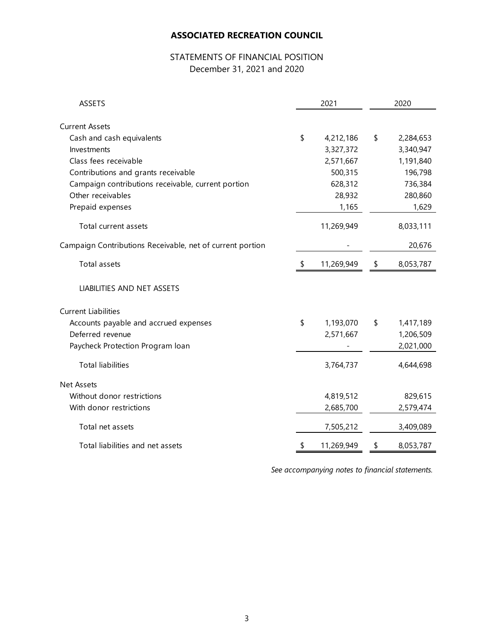# STATEMENTS OF FINANCIAL POSITION December 31, 2021 and 2020

| <b>ASSETS</b>                                             | 2021             | 2020            |  |  |
|-----------------------------------------------------------|------------------|-----------------|--|--|
| <b>Current Assets</b>                                     |                  |                 |  |  |
| Cash and cash equivalents                                 | \$<br>4,212,186  | \$<br>2,284,653 |  |  |
| Investments                                               | 3,327,372        | 3,340,947       |  |  |
| Class fees receivable                                     | 2,571,667        | 1,191,840       |  |  |
| Contributions and grants receivable                       | 500,315          | 196,798         |  |  |
| Campaign contributions receivable, current portion        | 628,312          | 736,384         |  |  |
| Other receivables                                         | 28,932           | 280,860         |  |  |
| Prepaid expenses                                          | 1,165            | 1,629           |  |  |
| Total current assets                                      | 11,269,949       | 8,033,111       |  |  |
| Campaign Contributions Receivable, net of current portion |                  | 20,676          |  |  |
| <b>Total assets</b>                                       | \$<br>11,269,949 | \$<br>8,053,787 |  |  |
| LIABILITIES AND NET ASSETS                                |                  |                 |  |  |
| <b>Current Liabilities</b>                                |                  |                 |  |  |
| Accounts payable and accrued expenses                     | \$<br>1,193,070  | \$<br>1,417,189 |  |  |
| Deferred revenue                                          | 2,571,667        | 1,206,509       |  |  |
| Paycheck Protection Program loan                          |                  | 2,021,000       |  |  |
| <b>Total liabilities</b>                                  | 3,764,737        | 4,644,698       |  |  |
| <b>Net Assets</b>                                         |                  |                 |  |  |
| Without donor restrictions                                | 4,819,512        | 829,615         |  |  |
| With donor restrictions                                   | 2,685,700        | 2,579,474       |  |  |
| Total net assets                                          | 7,505,212        | 3,409,089       |  |  |
| Total liabilities and net assets                          | \$<br>11,269,949 | \$<br>8,053,787 |  |  |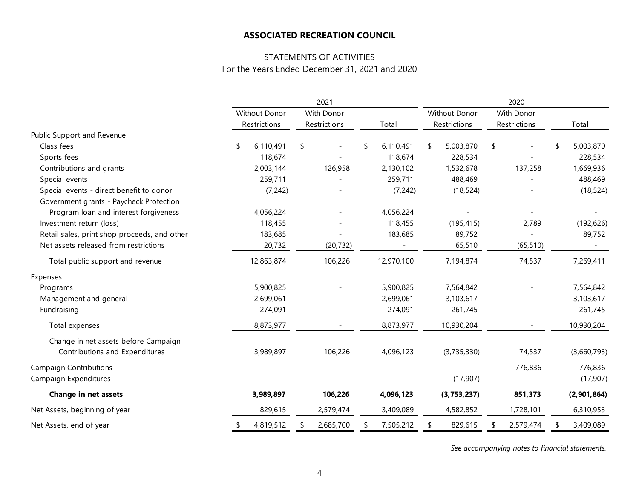## STATEMENTS OF ACTIVITIES For the Years Ended December 31, 2021 and 2020

|                                              | 2021          |              |            |              | 2020 |            |                      |               |            |              |  |             |
|----------------------------------------------|---------------|--------------|------------|--------------|------|------------|----------------------|---------------|------------|--------------|--|-------------|
|                                              | Without Donor |              | With Donor |              |      |            | <b>Without Donor</b> |               | With Donor |              |  |             |
|                                              |               | Restrictions |            | Restrictions |      | Total      |                      | Restrictions  |            | Restrictions |  | Total       |
| Public Support and Revenue                   |               |              |            |              |      |            |                      |               |            |              |  |             |
| Class fees                                   |               | 6,110,491    | \$         |              | \$   | 6,110,491  | \$                   | 5,003,870     | \$         |              |  | 5,003,870   |
| Sports fees                                  |               | 118,674      |            |              |      | 118,674    |                      | 228,534       |            |              |  | 228,534     |
| Contributions and grants                     |               | 2,003,144    |            | 126,958      |      | 2,130,102  |                      | 1,532,678     |            | 137,258      |  | 1,669,936   |
| Special events                               |               | 259,711      |            |              |      | 259,711    |                      | 488,469       |            |              |  | 488,469     |
| Special events - direct benefit to donor     |               | (7, 242)     |            |              |      | (7, 242)   |                      | (18, 524)     |            |              |  | (18, 524)   |
| Government grants - Paycheck Protection      |               |              |            |              |      |            |                      |               |            |              |  |             |
| Program loan and interest forgiveness        |               | 4,056,224    |            |              |      | 4,056,224  |                      |               |            |              |  |             |
| Investment return (loss)                     |               | 118,455      |            |              |      | 118,455    |                      | (195, 415)    |            | 2,789        |  | (192, 626)  |
| Retail sales, print shop proceeds, and other |               | 183,685      |            |              |      | 183,685    |                      | 89,752        |            |              |  | 89,752      |
| Net assets released from restrictions        |               | 20,732       |            | (20, 732)    |      |            |                      | 65,510        |            | (65, 510)    |  |             |
| Total public support and revenue             |               | 12,863,874   |            | 106,226      |      | 12,970,100 |                      | 7,194,874     |            | 74,537       |  | 7,269,411   |
| Expenses                                     |               |              |            |              |      |            |                      |               |            |              |  |             |
| Programs                                     |               | 5,900,825    |            |              |      | 5,900,825  |                      | 7,564,842     |            |              |  | 7,564,842   |
| Management and general                       |               | 2,699,061    |            |              |      | 2,699,061  |                      | 3,103,617     |            |              |  | 3,103,617   |
| Fundraising                                  |               | 274,091      |            |              |      | 274,091    |                      | 261,745       |            |              |  | 261,745     |
| Total expenses                               |               | 8,873,977    |            |              |      | 8,873,977  |                      | 10,930,204    |            |              |  | 10,930,204  |
| Change in net assets before Campaign         |               |              |            |              |      |            |                      |               |            |              |  |             |
| Contributions and Expenditures               |               | 3,989,897    |            | 106,226      |      | 4,096,123  |                      | (3,735,330)   |            | 74,537       |  | (3,660,793) |
| <b>Campaign Contributions</b>                |               |              |            |              |      |            |                      |               |            | 776,836      |  | 776,836     |
| Campaign Expenditures                        |               |              |            |              |      |            |                      | (17, 907)     |            |              |  | (17, 907)   |
| <b>Change in net assets</b>                  |               | 3,989,897    |            | 106,226      |      | 4,096,123  |                      | (3, 753, 237) |            | 851,373      |  | (2,901,864) |
| Net Assets, beginning of year                |               | 829,615      |            | 2,579,474    |      | 3,409,089  |                      | 4,582,852     |            | 1,728,101    |  | 6,310,953   |
| Net Assets, end of year                      |               | 4,819,512    |            | 2,685,700    | \$   | 7,505,212  | S                    | 829,615       |            | 2,579,474    |  | 3,409,089   |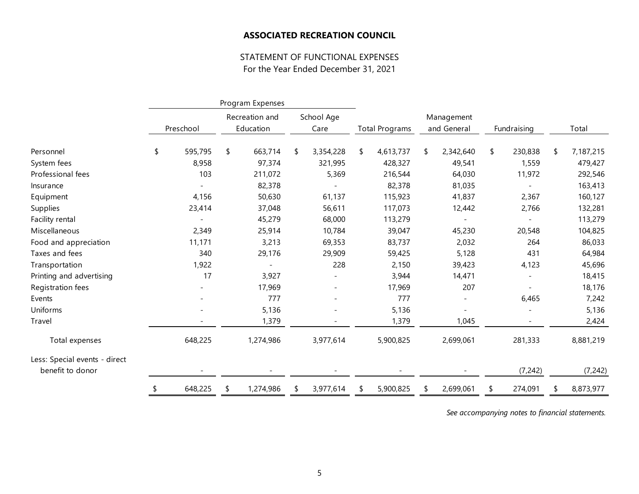## STATEMENT OF FUNCTIONAL EXPENSES For the Year Ended December 31, 2021

|                                                   |               | Program Expenses |                |    |            |    |                       |    |                              |               |                 |
|---------------------------------------------------|---------------|------------------|----------------|----|------------|----|-----------------------|----|------------------------------|---------------|-----------------|
|                                                   |               |                  | Recreation and |    | School Age |    |                       |    | Management                   |               |                 |
|                                                   | Preschool     |                  | Education      |    | Care       |    | <b>Total Programs</b> |    | and General                  | Fundraising   | Total           |
| Personnel                                         | \$<br>595,795 | \$               | 663,714        | \$ | 3,354,228  | \$ | 4,613,737             | \$ | 2,342,640                    | \$<br>230,838 | \$<br>7,187,215 |
| System fees                                       | 8,958         |                  | 97,374         |    | 321,995    |    | 428,327               |    | 49,541                       | 1,559         | 479,427         |
| Professional fees                                 | 103           |                  | 211,072        |    | 5,369      |    | 216,544               |    | 64,030                       | 11,972        | 292,546         |
|                                                   |               |                  | 82,378         |    |            |    | 82,378                |    | 81,035                       |               | 163,413         |
| Insurance                                         |               |                  |                |    |            |    |                       |    | 41,837                       |               |                 |
| Equipment                                         | 4,156         |                  | 50,630         |    | 61,137     |    | 115,923               |    |                              | 2,367         | 160,127         |
| Supplies                                          | 23,414        |                  | 37,048         |    | 56,611     |    | 117,073               |    | 12,442                       | 2,766         | 132,281         |
| Facility rental                                   |               |                  | 45,279         |    | 68,000     |    | 113,279               |    |                              |               | 113,279         |
| Miscellaneous                                     | 2,349         |                  | 25,914         |    | 10,784     |    | 39,047                |    | 45,230                       | 20,548        | 104,825         |
| Food and appreciation                             | 11,171        |                  | 3,213          |    | 69,353     |    | 83,737                |    | 2,032                        | 264           | 86,033          |
| Taxes and fees                                    | 340           |                  | 29,176         |    | 29,909     |    | 59,425                |    | 5,128                        | 431           | 64,984          |
| Transportation                                    | 1,922         |                  |                |    | 228        |    | 2,150                 |    | 39,423                       | 4,123         | 45,696          |
| Printing and advertising                          | 17            |                  | 3,927          |    |            |    | 3,944                 |    | 14,471                       |               | 18,415          |
| Registration fees                                 |               |                  | 17,969         |    |            |    | 17,969                |    | 207                          |               | 18,176          |
| Events                                            |               |                  | 777            |    |            |    | 777                   |    | $\overline{\phantom{a}}$     | 6,465         | 7,242           |
| Uniforms                                          |               |                  | 5,136          |    |            |    | 5,136                 |    | $\qquad \qquad \blacksquare$ |               | 5,136           |
| Travel                                            |               |                  | 1,379          |    |            |    | 1,379                 |    | 1,045                        |               | 2,424           |
| Total expenses                                    | 648,225       |                  | 1,274,986      |    | 3,977,614  |    | 5,900,825             |    | 2,699,061                    | 281,333       | 8,881,219       |
| Less: Special events - direct<br>benefit to donor |               |                  |                |    |            |    |                       |    |                              | (7, 242)      | (7, 242)        |
|                                                   |               |                  |                |    |            |    |                       |    |                              |               |                 |
|                                                   | \$<br>648,225 | S                | 1,274,986      | \$ | 3,977,614  | S. | 5,900,825             | S  | 2,699,061                    | \$<br>274,091 | 8,873,977       |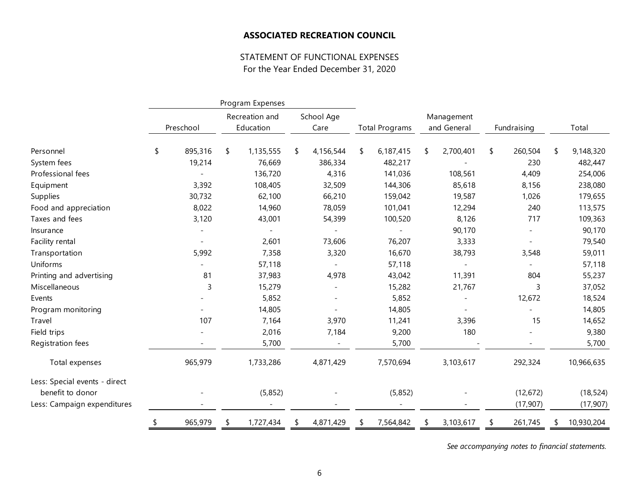## STATEMENT OF FUNCTIONAL EXPENSES For the Year Ended December 31, 2020

|                               | Program Expenses |         |           |                |      |            |                       |             |            |             |           |                 |
|-------------------------------|------------------|---------|-----------|----------------|------|------------|-----------------------|-------------|------------|-------------|-----------|-----------------|
|                               |                  |         |           | Recreation and |      | School Age |                       |             | Management |             |           |                 |
|                               | Preschool        |         | Education |                | Care |            | <b>Total Programs</b> | and General |            | Fundraising |           | Total           |
| Personnel                     | \$               | 895,316 | \$        | 1,135,555      | \$   | 4,156,544  | \$<br>6,187,415       | \$          | 2,700,401  | \$          | 260,504   | \$<br>9,148,320 |
| System fees                   |                  | 19,214  |           | 76,669         |      | 386,334    | 482,217               |             |            |             | 230       | 482,447         |
| Professional fees             |                  |         |           | 136,720        |      | 4,316      | 141,036               |             | 108,561    |             | 4,409     | 254,006         |
| Equipment                     |                  | 3,392   |           | 108,405        |      | 32,509     | 144,306               |             | 85,618     |             | 8,156     | 238,080         |
| Supplies                      |                  | 30,732  |           | 62,100         |      | 66,210     | 159,042               |             | 19,587     |             | 1,026     | 179,655         |
| Food and appreciation         |                  | 8,022   |           | 14,960         |      | 78,059     | 101,041               |             | 12,294     |             | 240       | 113,575         |
| Taxes and fees                |                  | 3,120   |           | 43,001         |      | 54,399     | 100,520               |             | 8,126      |             | 717       | 109,363         |
| Insurance                     |                  |         |           |                |      |            |                       |             | 90,170     |             |           | 90,170          |
| Facility rental               |                  |         |           | 2,601          |      | 73,606     | 76,207                |             | 3,333      |             |           | 79,540          |
| Transportation                |                  | 5,992   |           | 7,358          |      | 3,320      | 16,670                |             | 38,793     |             | 3,548     | 59,011          |
| Uniforms                      |                  |         |           | 57,118         |      |            | 57,118                |             |            |             |           | 57,118          |
| Printing and advertising      |                  | 81      |           | 37,983         |      | 4,978      | 43,042                |             | 11,391     |             | 804       | 55,237          |
| Miscellaneous                 |                  | 3       |           | 15,279         |      |            | 15,282                |             | 21,767     |             | 3         | 37,052          |
| Events                        |                  |         |           | 5,852          |      |            | 5,852                 |             |            |             | 12,672    | 18,524          |
| Program monitoring            |                  |         |           | 14,805         |      |            | 14,805                |             |            |             |           | 14,805          |
| Travel                        |                  | 107     |           | 7,164          |      | 3,970      | 11,241                |             | 3,396      |             | 15        | 14,652          |
| Field trips                   |                  |         |           | 2,016          |      | 7,184      | 9,200                 |             | 180        |             |           | 9,380           |
| Registration fees             |                  |         |           | 5,700          |      |            | 5,700                 |             |            |             |           | 5,700           |
| Total expenses                |                  | 965,979 |           | 1,733,286      |      | 4,871,429  | 7,570,694             |             | 3,103,617  |             | 292,324   | 10,966,635      |
| Less: Special events - direct |                  |         |           |                |      |            |                       |             |            |             |           |                 |
| benefit to donor              |                  |         |           | (5,852)        |      |            | (5,852)               |             |            |             | (12, 672) | (18, 524)       |
| Less: Campaign expenditures   |                  |         |           |                |      |            |                       |             |            |             | (17, 907) | (17, 907)       |
|                               |                  | 965,979 | S         | 1,727,434      | \$   | 4,871,429  | 7,564,842             | \$          | 3,103,617  | \$          | 261,745   | 10,930,204      |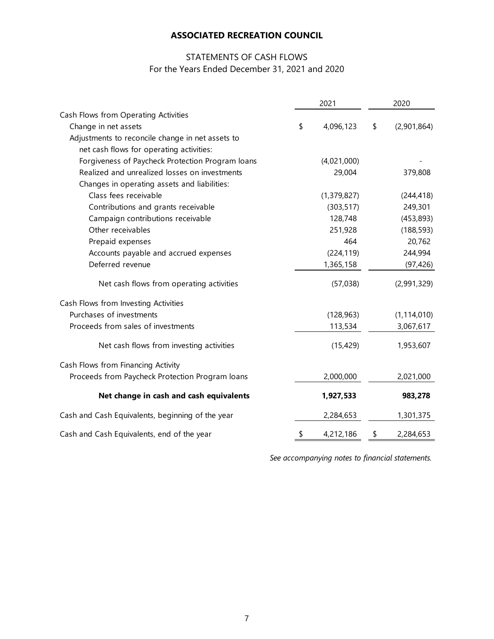# STATEMENTS OF CASH FLOWS For the Years Ended December 31, 2021 and 2020

|                                                  | 2021 |             |    | 2020          |  |  |  |
|--------------------------------------------------|------|-------------|----|---------------|--|--|--|
| Cash Flows from Operating Activities             |      |             |    |               |  |  |  |
| Change in net assets                             | \$   | 4,096,123   | \$ | (2,901,864)   |  |  |  |
| Adjustments to reconcile change in net assets to |      |             |    |               |  |  |  |
| net cash flows for operating activities:         |      |             |    |               |  |  |  |
| Forgiveness of Paycheck Protection Program loans |      | (4,021,000) |    |               |  |  |  |
| Realized and unrealized losses on investments    |      | 29,004      |    | 379,808       |  |  |  |
| Changes in operating assets and liabilities:     |      |             |    |               |  |  |  |
| Class fees receivable                            |      | (1,379,827) |    | (244, 418)    |  |  |  |
| Contributions and grants receivable              |      | (303, 517)  |    | 249,301       |  |  |  |
| Campaign contributions receivable                |      | 128,748     |    | (453, 893)    |  |  |  |
| Other receivables                                |      | 251,928     |    | (188, 593)    |  |  |  |
| Prepaid expenses                                 |      | 464         |    | 20,762        |  |  |  |
| Accounts payable and accrued expenses            |      | (224, 119)  |    | 244,994       |  |  |  |
| Deferred revenue                                 |      | 1,365,158   |    | (97, 426)     |  |  |  |
| Net cash flows from operating activities         |      | (57,038)    |    | (2,991,329)   |  |  |  |
| Cash Flows from Investing Activities             |      |             |    |               |  |  |  |
| Purchases of investments                         |      | (128, 963)  |    | (1, 114, 010) |  |  |  |
| Proceeds from sales of investments               |      | 113,534     |    | 3,067,617     |  |  |  |
| Net cash flows from investing activities         |      | (15, 429)   |    | 1,953,607     |  |  |  |
| Cash Flows from Financing Activity               |      |             |    |               |  |  |  |
| Proceeds from Paycheck Protection Program loans  |      | 2,000,000   |    | 2,021,000     |  |  |  |
| Net change in cash and cash equivalents          |      | 1,927,533   |    | 983,278       |  |  |  |
| Cash and Cash Equivalents, beginning of the year |      | 2,284,653   |    | 1,301,375     |  |  |  |
| Cash and Cash Equivalents, end of the year       | \$   | 4,212,186   | \$ | 2,284,653     |  |  |  |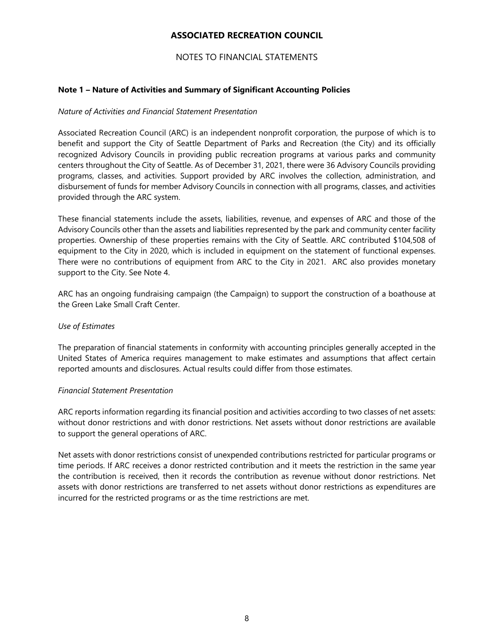## NOTES TO FINANCIAL STATEMENTS

## **Note 1 – Nature of Activities and Summary of Significant Accounting Policies**

## *Nature of Activities and Financial Statement Presentation*

Associated Recreation Council (ARC) is an independent nonprofit corporation, the purpose of which is to benefit and support the City of Seattle Department of Parks and Recreation (the City) and its officially recognized Advisory Councils in providing public recreation programs at various parks and community centers throughout the City of Seattle. As of December 31, 2021, there were 36 Advisory Councils providing programs, classes, and activities. Support provided by ARC involves the collection, administration, and disbursement of funds for member Advisory Councils in connection with all programs, classes, and activities provided through the ARC system.

These financial statements include the assets, liabilities, revenue, and expenses of ARC and those of the Advisory Councils other than the assets and liabilities represented by the park and community center facility properties. Ownership of these properties remains with the City of Seattle. ARC contributed \$104,508 of equipment to the City in 2020, which is included in equipment on the statement of functional expenses. There were no contributions of equipment from ARC to the City in 2021. ARC also provides monetary support to the City. See Note 4.

ARC has an ongoing fundraising campaign (the Campaign) to support the construction of a boathouse at the Green Lake Small Craft Center.

## *Use of Estimates*

The preparation of financial statements in conformity with accounting principles generally accepted in the United States of America requires management to make estimates and assumptions that affect certain reported amounts and disclosures. Actual results could differ from those estimates.

### *Financial Statement Presentation*

ARC reports information regarding its financial position and activities according to two classes of net assets: without donor restrictions and with donor restrictions. Net assets without donor restrictions are available to support the general operations of ARC.

Net assets with donor restrictions consist of unexpended contributions restricted for particular programs or time periods. If ARC receives a donor restricted contribution and it meets the restriction in the same year the contribution is received, then it records the contribution as revenue without donor restrictions. Net assets with donor restrictions are transferred to net assets without donor restrictions as expenditures are incurred for the restricted programs or as the time restrictions are met.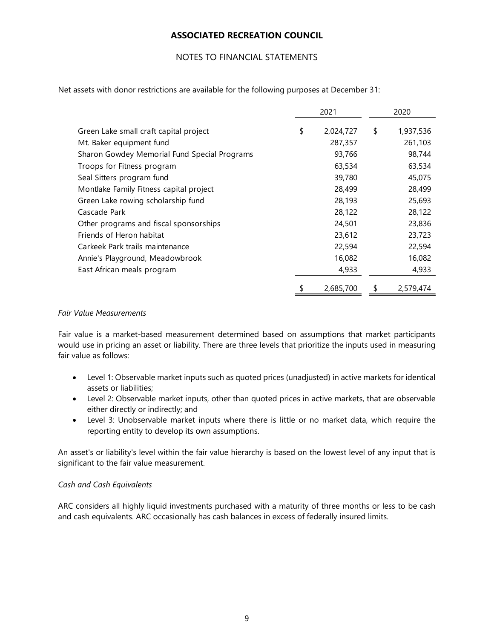## NOTES TO FINANCIAL STATEMENTS

Net assets with donor restrictions are available for the following purposes at December 31:

|                                              | 2021 |           |    | 2020      |  |  |
|----------------------------------------------|------|-----------|----|-----------|--|--|
| Green Lake small craft capital project       | \$   | 2,024,727 | \$ | 1,937,536 |  |  |
| Mt. Baker equipment fund                     |      | 287,357   |    | 261,103   |  |  |
| Sharon Gowdey Memorial Fund Special Programs |      | 93,766    |    | 98,744    |  |  |
| Troops for Fitness program                   |      | 63,534    |    | 63,534    |  |  |
| Seal Sitters program fund                    |      | 39,780    |    | 45,075    |  |  |
| Montlake Family Fitness capital project      |      | 28,499    |    | 28,499    |  |  |
| Green Lake rowing scholarship fund           |      | 28,193    |    | 25,693    |  |  |
| Cascade Park                                 |      | 28,122    |    | 28,122    |  |  |
| Other programs and fiscal sponsorships       |      | 24,501    |    | 23,836    |  |  |
| Friends of Heron habitat                     |      | 23,612    |    | 23,723    |  |  |
| Carkeek Park trails maintenance              |      | 22,594    |    | 22,594    |  |  |
| Annie's Playground, Meadowbrook              |      | 16,082    |    | 16,082    |  |  |
| East African meals program                   |      | 4,933     |    | 4,933     |  |  |
|                                              |      | 2,685,700 | \$ | 2,579,474 |  |  |

#### *Fair Value Measurements*

Fair value is a market-based measurement determined based on assumptions that market participants would use in pricing an asset or liability. There are three levels that prioritize the inputs used in measuring fair value as follows:

- Level 1: Observable market inputs such as quoted prices (unadjusted) in active markets for identical assets or liabilities;
- Level 2: Observable market inputs, other than quoted prices in active markets, that are observable either directly or indirectly; and
- Level 3: Unobservable market inputs where there is little or no market data, which require the reporting entity to develop its own assumptions.

An asset's or liability's level within the fair value hierarchy is based on the lowest level of any input that is significant to the fair value measurement.

## *Cash and Cash Equivalents*

ARC considers all highly liquid investments purchased with a maturity of three months or less to be cash and cash equivalents. ARC occasionally has cash balances in excess of federally insured limits.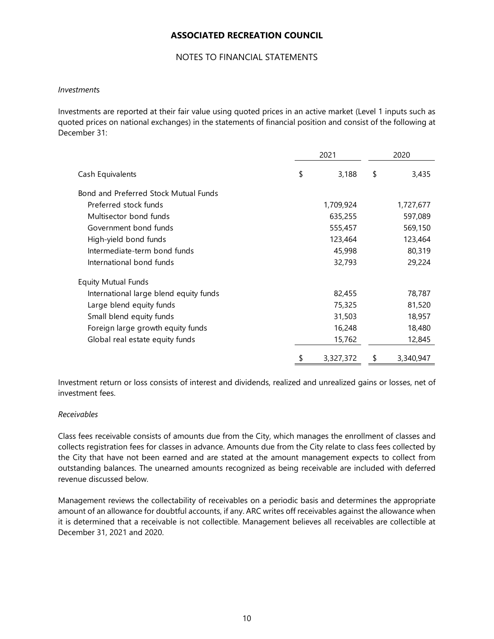## NOTES TO FINANCIAL STATEMENTS

### *Investment*s

Investments are reported at their fair value using quoted prices in an active market (Level 1 inputs such as quoted prices on national exchanges) in the statements of financial position and consist of the following at December 31:

|                                        | 2021 |           |    | 2020      |
|----------------------------------------|------|-----------|----|-----------|
| Cash Equivalents                       | \$   | 3,188     | \$ | 3,435     |
| Bond and Preferred Stock Mutual Funds  |      |           |    |           |
| Preferred stock funds                  |      | 1,709,924 |    | 1,727,677 |
| Multisector bond funds                 |      | 635,255   |    | 597,089   |
| Government bond funds                  |      | 555,457   |    | 569,150   |
| High-yield bond funds                  |      | 123,464   |    | 123,464   |
| Intermediate-term bond funds           |      | 45,998    |    | 80,319    |
| International bond funds               |      | 32,793    |    | 29,224    |
| <b>Equity Mutual Funds</b>             |      |           |    |           |
| International large blend equity funds |      | 82,455    |    | 78,787    |
| Large blend equity funds               |      | 75,325    |    | 81,520    |
| Small blend equity funds               |      | 31,503    |    | 18,957    |
| Foreign large growth equity funds      |      | 16,248    |    | 18,480    |
| Global real estate equity funds        |      | 15,762    |    | 12,845    |
|                                        | \$   | 3,327,372 | \$ | 3,340,947 |

Investment return or loss consists of interest and dividends, realized and unrealized gains or losses, net of investment fees.

## *Receivables*

Class fees receivable consists of amounts due from the City, which manages the enrollment of classes and collects registration fees for classes in advance. Amounts due from the City relate to class fees collected by the City that have not been earned and are stated at the amount management expects to collect from outstanding balances. The unearned amounts recognized as being receivable are included with deferred revenue discussed below.

Management reviews the collectability of receivables on a periodic basis and determines the appropriate amount of an allowance for doubtful accounts, if any. ARC writes off receivables against the allowance when it is determined that a receivable is not collectible. Management believes all receivables are collectible at December 31, 2021 and 2020.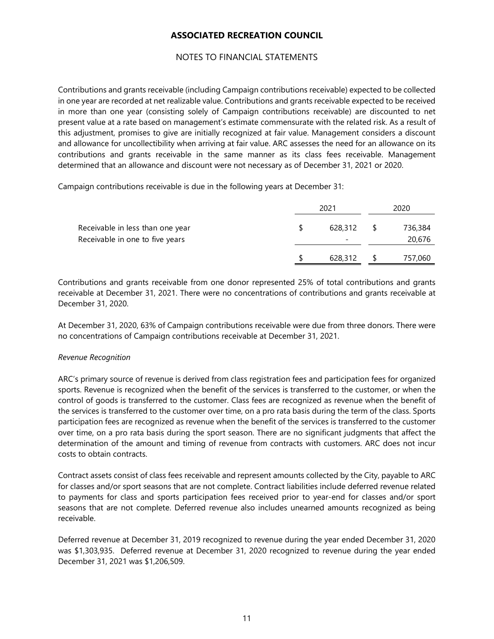## NOTES TO FINANCIAL STATEMENTS

Contributions and grants receivable (including Campaign contributions receivable) expected to be collected in one year are recorded at net realizable value. Contributions and grants receivable expected to be received in more than one year (consisting solely of Campaign contributions receivable) are discounted to net present value at a rate based on management's estimate commensurate with the related risk. As a result of this adjustment, promises to give are initially recognized at fair value. Management considers a discount and allowance for uncollectibility when arriving at fair value. ARC assesses the need for an allowance on its contributions and grants receivable in the same manner as its class fees receivable. Management determined that an allowance and discount were not necessary as of December 31, 2021 or 2020.

Campaign contributions receivable is due in the following years at December 31:

|                                                                     |    | 2021    | 2020 |                   |  |  |
|---------------------------------------------------------------------|----|---------|------|-------------------|--|--|
| Receivable in less than one year<br>Receivable in one to five years | -S | 628,312 |      | 736,384<br>20,676 |  |  |
|                                                                     |    | 628,312 |      | 757,060           |  |  |

Contributions and grants receivable from one donor represented 25% of total contributions and grants receivable at December 31, 2021. There were no concentrations of contributions and grants receivable at December 31, 2020.

At December 31, 2020, 63% of Campaign contributions receivable were due from three donors. There were no concentrations of Campaign contributions receivable at December 31, 2021.

## *Revenue Recognition*

ARC's primary source of revenue is derived from class registration fees and participation fees for organized sports. Revenue is recognized when the benefit of the services is transferred to the customer, or when the control of goods is transferred to the customer. Class fees are recognized as revenue when the benefit of the services is transferred to the customer over time, on a pro rata basis during the term of the class. Sports participation fees are recognized as revenue when the benefit of the services is transferred to the customer over time, on a pro rata basis during the sport season. There are no significant judgments that affect the determination of the amount and timing of revenue from contracts with customers. ARC does not incur costs to obtain contracts.

Contract assets consist of class fees receivable and represent amounts collected by the City, payable to ARC for classes and/or sport seasons that are not complete. Contract liabilities include deferred revenue related to payments for class and sports participation fees received prior to year-end for classes and/or sport seasons that are not complete. Deferred revenue also includes unearned amounts recognized as being receivable.

Deferred revenue at December 31, 2019 recognized to revenue during the year ended December 31, 2020 was \$1,303,935. Deferred revenue at December 31, 2020 recognized to revenue during the year ended December 31, 2021 was \$1,206,509.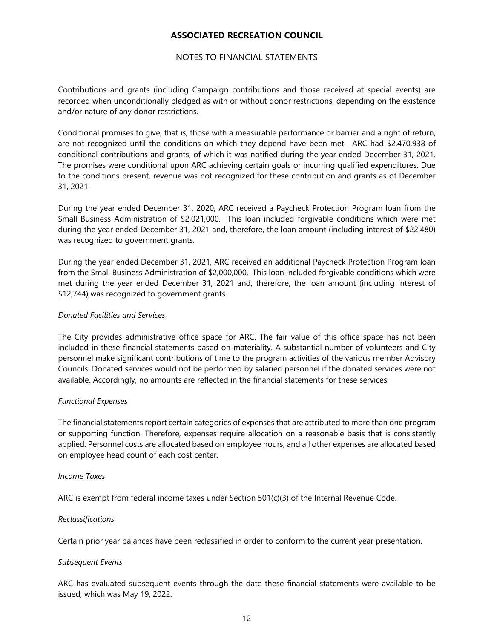## NOTES TO FINANCIAL STATEMENTS

Contributions and grants (including Campaign contributions and those received at special events) are recorded when unconditionally pledged as with or without donor restrictions, depending on the existence and/or nature of any donor restrictions.

Conditional promises to give, that is, those with a measurable performance or barrier and a right of return, are not recognized until the conditions on which they depend have been met. ARC had \$2,470,938 of conditional contributions and grants, of which it was notified during the year ended December 31, 2021. The promises were conditional upon ARC achieving certain goals or incurring qualified expenditures. Due to the conditions present, revenue was not recognized for these contribution and grants as of December 31, 2021.

During the year ended December 31, 2020, ARC received a Paycheck Protection Program loan from the Small Business Administration of \$2,021,000. This loan included forgivable conditions which were met during the year ended December 31, 2021 and, therefore, the loan amount (including interest of \$22,480) was recognized to government grants.

During the year ended December 31, 2021, ARC received an additional Paycheck Protection Program loan from the Small Business Administration of \$2,000,000. This loan included forgivable conditions which were met during the year ended December 31, 2021 and, therefore, the loan amount (including interest of \$12,744) was recognized to government grants.

## *Donated Facilities and Services*

The City provides administrative office space for ARC. The fair value of this office space has not been included in these financial statements based on materiality. A substantial number of volunteers and City personnel make significant contributions of time to the program activities of the various member Advisory Councils. Donated services would not be performed by salaried personnel if the donated services were not available. Accordingly, no amounts are reflected in the financial statements for these services.

## *Functional Expenses*

The financial statements report certain categories of expenses that are attributed to more than one program or supporting function. Therefore, expenses require allocation on a reasonable basis that is consistently applied. Personnel costs are allocated based on employee hours, and all other expenses are allocated based on employee head count of each cost center.

#### *Income Taxes*

ARC is exempt from federal income taxes under Section 501(c)(3) of the Internal Revenue Code.

## *Reclassifications*

Certain prior year balances have been reclassified in order to conform to the current year presentation.

#### *Subsequent Events*

ARC has evaluated subsequent events through the date these financial statements were available to be issued, which was May 19, 2022.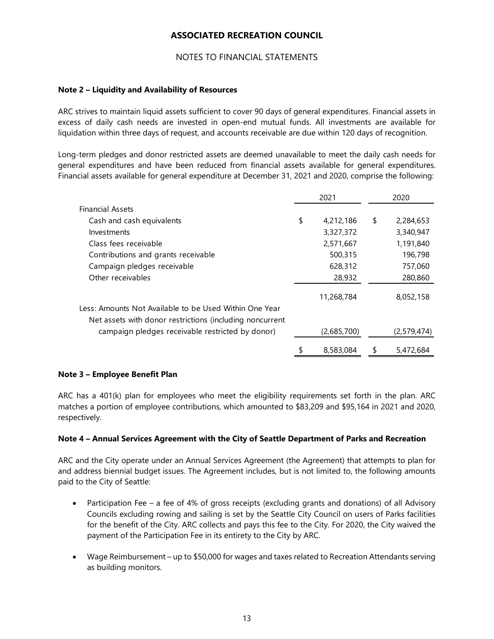## NOTES TO FINANCIAL STATEMENTS

## **Note 2 – Liquidity and Availability of Resources**

ARC strives to maintain liquid assets sufficient to cover 90 days of general expenditures. Financial assets in excess of daily cash needs are invested in open-end mutual funds. All investments are available for liquidation within three days of request, and accounts receivable are due within 120 days of recognition.

Long-term pledges and donor restricted assets are deemed unavailable to meet the daily cash needs for general expenditures and have been reduced from financial assets available for general expenditures. Financial assets available for general expenditure at December 31, 2021 and 2020, comprise the following:

|                                                          | 2021            | 2020 |             |  |
|----------------------------------------------------------|-----------------|------|-------------|--|
| <b>Financial Assets</b>                                  |                 |      |             |  |
| Cash and cash equivalents                                | \$<br>4,212,186 | \$   | 2,284,653   |  |
| Investments                                              | 3,327,372       |      | 3,340,947   |  |
| Class fees receivable                                    | 2,571,667       |      | 1,191,840   |  |
| Contributions and grants receivable                      | 500,315         |      | 196,798     |  |
| Campaign pledges receivable                              | 628,312         |      | 757,060     |  |
| Other receivables                                        | 28,932          |      | 280,860     |  |
|                                                          | 11,268,784      |      | 8,052,158   |  |
| Less: Amounts Not Available to be Used Within One Year   |                 |      |             |  |
| Net assets with donor restrictions (including noncurrent |                 |      |             |  |
| campaign pledges receivable restricted by donor)         | (2,685,700)     |      | (2,579,474) |  |
|                                                          | 8,583,084       | S    | 5,472,684   |  |

## **Note 3 – Employee Benefit Plan**

ARC has a 401(k) plan for employees who meet the eligibility requirements set forth in the plan. ARC matches a portion of employee contributions, which amounted to \$83,209 and \$95,164 in 2021 and 2020, respectively.

## **Note 4 – Annual Services Agreement with the City of Seattle Department of Parks and Recreation**

ARC and the City operate under an Annual Services Agreement (the Agreement) that attempts to plan for and address biennial budget issues. The Agreement includes, but is not limited to, the following amounts paid to the City of Seattle:

- Participation Fee a fee of 4% of gross receipts (excluding grants and donations) of all Advisory Councils excluding rowing and sailing is set by the Seattle City Council on users of Parks facilities for the benefit of the City. ARC collects and pays this fee to the City. For 2020, the City waived the payment of the Participation Fee in its entirety to the City by ARC.
- Wage Reimbursement up to \$50,000 for wages and taxes related to Recreation Attendants serving as building monitors.